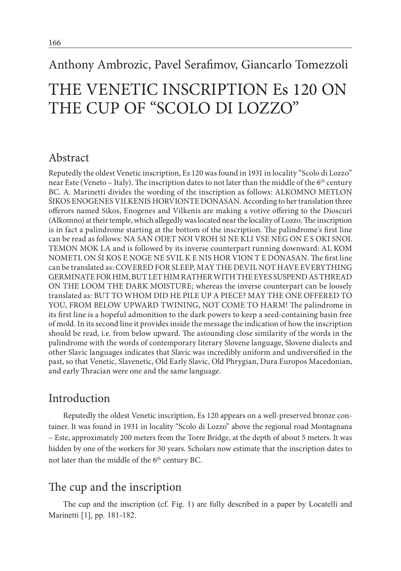## Anthony Ambrozic, Pavel Serafimov, Giancarlo Tomezzoli

# THE VENETIC INSCRIPTION Es 120 ON THE CUP OF "SCOLO DI LOZZO"

## Abstract

Reputedly the oldest Venetic inscription, Es 120 was found in 1931 in locality "Scolo di Lozzo" near Este (Veneto – Italy). The inscription dates to not later than the middle of the 6<sup>th</sup> century BC. A. Marinetti divides the wording of the inscription as follows: ALKOMNO METLON ŚIKOS ENOGENES VILKENIS HORVIONTE DONASAN. According to her translation three offerors named Sikos, Enogenes and Vilkenis are making a votive offering to the Dioscuri (Alkomno) at their temple, which allegedly was located near the locality of Lozzo. The inscription is in fact a palindrome starting at the bottom of the inscription. The palindrome's first line can be read as follows: NA SAN ODET NOI VROH SI NE KLI VSE NEG ON E S OKI SNOL TEMON MOK LA and is followed by its inverse counterpart running downward: AL KOM NOMETL ON ŚI KOS E NOGE NE SVIL K E NIS HOR VION T E DONASAN. The first line can be translated as: COVERED FOR SLEEP, MAY THE DEVIL NOT HAVE EVERYTHING GERMINATE FOR HIM, BUT LET HIM RATHER WITH THE EYES SUSPEND AS THREAD ON THE LOOM THE DARK MOISTURE; whereas the inverse counterpart can be loosely translated as: BUT TO WHOM DID HE PILE UP A PIECE? MAY THE ONE OFFERED TO YOU, FROM BELOW UPWARD TWINING, NOT COME TO HARM! The palindrome in its first line is a hopeful admonition to the dark powers to keep a seed-containing basin free of mold. In its second line it provides inside the message the indication of how the inscription should be read, i.e. from below upward. The astounding close similarity of the words in the palindrome with the words of contemporary literary Slovene language, Slovene dialects and other Slavic languages indicates that Slavic was incredibly uniform and undiversified in the past, so that Venetic, Slavenetic, Old Early Slavic, Old Phrygian, Dura Europos Macedonian, and early Thracian were one and the same language.

## Introduction

Reputedly the oldest Venetic inscription, Es 120 appears on a well-preserved bronze container. It was found in 1931 in locality "Scolo di Lozzo" above the regional road Montagnana – Este, approximately 200 meters from the Torre Bridge, at the depth of about 5 meters. It was hidden by one of the workers for 30 years. Scholars now estimate that the inscription dates to not later than the middle of the 6<sup>th</sup> century BC.

## The cup and the inscription

The cup and the inscription (cf. Fig. 1) are fully described in a paper by Locatelli and Marinetti [1], pp. 181-182.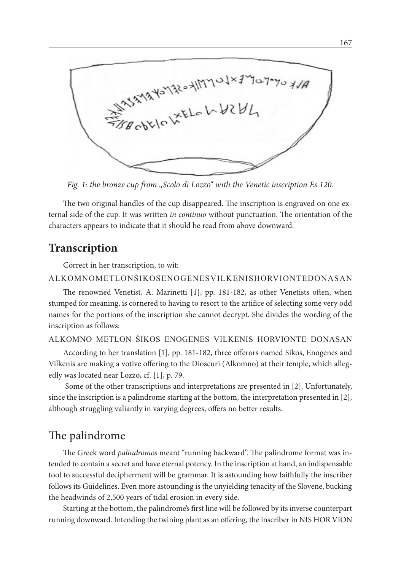HAYAMANSYASSHIMMOJX2MO7.

*Fig. 1: the bronze cup from "Scolo di Lozzo" with the Venetic inscription Es 120.*

The two original handles of the cup disappeared. The inscription is engraved on one external side of the cup. It was written *in continuo* without punctuation. The orientation of the characters appears to indicate that it should be read from above downward.

## **Transcription**

Correct in her transcription, to wit:

#### ALKOMNOMETLONŚIKOSENOGENESVILKENISHORVIONTEDONASAN

The renowned Venetist, A. Marinetti [1], pp. 181-182, as other Venetists often, when stumped for meaning, is cornered to having to resort to the artifice of selecting some very odd names for the portions of the inscription she cannot decrypt. She divides the wording of the inscription as follows:

#### ALKOMNO METLON ŚIKOS ENOGENES VILKENIS HORVIONTE DONASAN

According to her translation [1], pp. 181-182, three offerors named Sikos, Enogenes and Vilkenis are making a votive offering to the Dioscuri (Alkomno) at their temple, which allegedly was located near Lozzo, cf. [1], p. 79.

 Some of the other transcriptions and interpretations are presented in [2]. Unfortunately, since the inscription is a palindrome starting at the bottom, the interpretation presented in [2], although struggling valiantly in varying degrees, offers no better results.

## The palindrome

The Greek word *palindromos* meant "running backward". The palindrome format was intended to contain a secret and have eternal potency. In the inscription at hand, an indispensable tool to successful decipherment will be grammar. It is astounding how faithfully the inscriber follows its Guidelines. Even more astounding is the unyielding tenacity of the Slovene, bucking the headwinds of 2,500 years of tidal erosion in every side.

Starting at the bottom, the palindrome's first line will be followed by its inverse counterpart running downward. Intending the twining plant as an offering, the inscriber in NIS HOR VION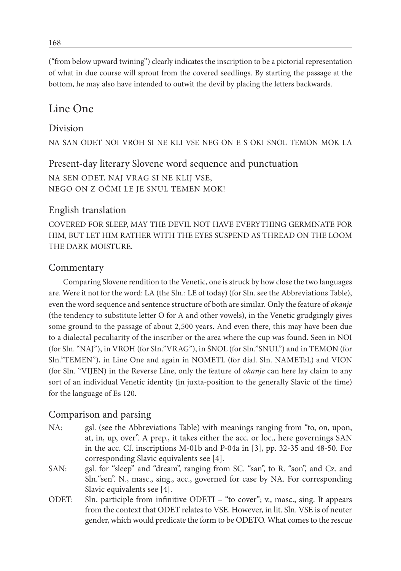("from below upward twining") clearly indicates the inscription to be a pictorial representation of what in due course will sprout from the covered seedlings. By starting the passage at the bottom, he may also have intended to outwit the devil by placing the letters backwards.

## Line One

#### Division

NA SAN ODET NOI VROH SI NE KLI VSE NEG ON E S OKI SNOL TEMON MOK LA

#### Present-day literary Slovene word sequence and punctuation NA SEN ODET, NAJ VRAG SI NE KLIJ VSE, NEGO ON Z OČMI LE JE SNUL TEMEN MOK!

#### English translation

COVERED FOR SLEEP, MAY THE DEVIL NOT HAVE EVERYTHING GERMINATE FOR HIM, BUT LET HIM RATHER WITH THE EYES SUSPEND AS THREAD ON THE LOOM THE DARK MOISTURE.

#### Commentary

Comparing Slovene rendition to the Venetic, one is struck by how close the two languages are. Were it not for the word: LA (the Sln.: LE of today) (for Sln. see the Abbreviations Table), even the word sequence and sentence structure of both are similar. Only the feature of *okanje* (the tendency to substitute letter O for A and other vowels), in the Venetic grudgingly gives some ground to the passage of about 2,500 years. And even there, this may have been due to a dialectal peculiarity of the inscriber or the area where the cup was found. Seen in NOI (for Sln. "NAJ"), in VROH (for Sln."VRAG"), in ŚNOL (for Sln."SNUL") and in TEMON (for Sln."TEMEN"), in Line One and again in NOMETL (for dial. Sln. NAMETәL) and VION (for Sln. "VIJEN) in the Reverse Line, only the feature of *okanje* can here lay claim to any sort of an individual Venetic identity (in juxta-position to the generally Slavic of the time) for the language of Es 120.

#### Comparison and parsing

- NA: gsl. (see the Abbreviations Table) with meanings ranging from "to, on, upon, at, in, up, over". A prep., it takes either the acc. or loc., here governings SAN in the acc. Cf. inscriptions M-01b and P-04a in [3], pp. 32-35 and 48-50. For corresponding Slavic equivalents see [4].
- SAN: gsl. for "sleep" and "dream", ranging from SC. "san", to R. "son", and Cz. and Sln."sen". N., masc., sing., acc., governed for case by NA. For corresponding Slavic equivalents see [4].
- ODET: Sln. participle from infinitive ODETI "to cover"; v., masc., sing. It appears from the context that ODET relates to VSE. However, in lit. Sln. VSE is of neuter gender, which would predicate the form to be ODETO. What comes to the rescue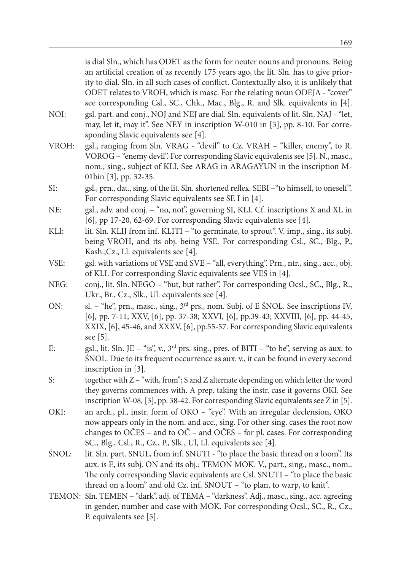is dial Sln., which has ODET as the form for neuter nouns and pronouns. Being an artificial creation of as recently 175 years ago, the lit. Sln. has to give priority to dial. Sln. in all such cases of conflict. Contextually also, it is unlikely that ODET relates to VROH, which is masc. For the relating noun ODEJA - "cover" see corresponding Csl., SC., Chk., Mac., Blg., R. and Slk. equivalents in [4].

- NOI: gsl. part. and conj., NOJ and NEJ are dial. Sln. equivalents of lit. Sln. NAJ "let, may, let it, may it". See NEY in inscription W-010 in [3], pp. 8-10. For corresponding Slavic equivalents see [4].
- VROH: gsl., ranging from Sln. VRAG "devil" to Cz. VRAH "killer, enemy", to R. VOROG – "enemy devil". For corresponding Slavic equivalents see [5]. N., masc., nom., sing., subject of KLI. See ARAG in ARAGAYUN in the inscription M-01bin [3], pp. 32-35.
- SI: gsl., prn., dat., sing. of the lit. Sln. shortened reflex. SEBI –"to himself, to oneself". For corresponding Slavic equivalents see SE I in [4].
- NE: gsl., adv. and conj. "no, not", governing SI, KLI. Cf. inscriptions X and XL in [6], pp 17-20, 62-69. For corresponding Slavic equivalents see [4].
- KLI: lit. Sln. KLIJ from inf. KLITI "to germinate, to sprout". V. imp., sing., its subj. being VROH, and its obj. being VSE. For corresponding Csl., SC., Blg., P., Kash.,Cz., Ll. equivalents see [4].
- VSE: gsl. with variations of VSE and SVE "all, everything". Prn., ntr., sing., acc., obj. of KLI. For corresponding Slavic equivalents see VES in [4].
- NEG: conj., lit. Sln. NEGO "but, but rather". For corresponding Ocsl., SC., Blg., R., Ukr., Br., Cz., Slk., Ul. equivalents see [4].
- ON: sl. "he", prn., masc., sing., 3rd prs., nom. Subj. of E ŚNOL. See inscriptions IV, [6], pp. 7-11; XXV, [6], pp. 37-38; XXVI, [6], pp.39-43; XXVIII, [6], pp. 44-45, XXIX, [6], 45-46, and XXXV, [6], pp.55-57. For corresponding Slavic equivalents see [5].
- E: gsl., lit. Sln. JE "is", v.,  $3<sup>rd</sup>$  prs. sing., pres. of BITI "to be", serving as aux. to ŚNOL. Due to its frequent occurrence as aux. v., it can be found in every second inscription in [3].
- S: together with Z "with, from"; S and Z alternate depending on which letter the word they governs commences with. A prep. taking the instr. case it governs OKI. See inscription W-08, [3], pp. 38-42. For corresponding Slavic equivalents see Z in [5].
- OKI: an arch., pl., instr. form of OKO "eye". With an irregular declension, OKO now appears only in the nom. and acc., sing. For other sing. cases the root now changes to OČES – and to OČ – and OČES – for pl. cases. For corresponding SC., Blg., Csl., R., Cz., P., Slk., Ul, Ll. equivalents see [4].
- ŚNOL: lit. Sln. part. SNUL, from inf. SNUTI "to place the basic thread on a loom". Its aux. is E, its subj. ON and its obj.: TEMON MOK. V., part., sing., masc., nom.. The only corresponding Slavic equivalents are Csl. SNUTI – "to place the basic thread on a loom" and old Cz. inf. SNOUT – "to plan, to warp, to knit".
- TEMON: Sln. TEMEN "dark", adj. of TEMA "darkness". Adj., masc., sing., acc. agreeing in gender, number and case with MOK. For corresponding Ocsl., SC., R., Cz., P. equivalents see [5].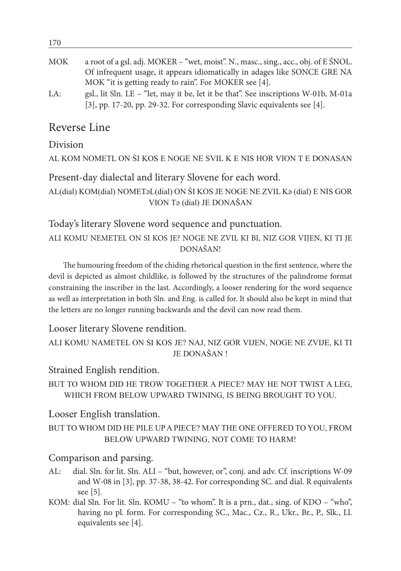| .          |                                                                                     |
|------------|-------------------------------------------------------------------------------------|
|            |                                                                                     |
| <b>MOK</b> | a root of a gsl. adj. MOKER – "wet, moist". N., masc., sing., acc., obj. of E ŚNOL. |
|            | Of infrequent usage, it appears idiomatically in adages like SONCE GRE NA           |
|            | MOK "it is getting ready to rain". For MOKER see [4].                               |
| LA:        | gsl., lit Sln. LE – "let, may it be, let it be that". See inscriptions W-01b, M-01a |
|            | [3], pp. 17-20, pp. 29-32. For corresponding Slavic equivalents see [4].            |
|            |                                                                                     |

## Reverse Line

Division

170

AL KOM NOMETL ON ŚI KOS E NOGE NE SVIL K E NIS HOR VION T E DONASAN

Present-day dialectal and literary Slovene for each word.

AL(dial) KOM(dial) NOMETəL(dial) ON ŚI KOS JE NOGE NE ZVIL Kə (dial) E NIS GOR VION Tə (dial) JE DONAŠAN

Today's literary Slovene word sequence and punctuation.

ALI KOMU NEMETEL ON SI KOS JE? NOGE NE ZVIL KI BI, NIZ GOR VIJEN, KI TI JE DONAŠAN!

The humouring freedom of the chiding rhetorical question in the first sentence, where the devil is depicted as almost childlike, is followed by the structures of the palindrome format constraining the inscriber in the last. Accordingly, a looser rendering for the word sequence as well as interpretation in both Sln. and Eng. is called for. It should also be kept in mind that the letters are no longer running backwards and the devil can now read them.

Looser literary Slovene rendition.

```
ALI KOMU NAMETEL ON SI KOS JE? NAJ, NIZ GOR VIJEN, NOGE NE ZVIJE, KI TI 
                 JE DONAŠAN !
```
Strained English rendition.

BUT TO WHOM DID HE TROW TOGETHER A PIECE? MAY HE NOT TWIST A LEG, WHICH FROM BELOW UPWARD TWINING, IS BEING BROUGHT TO YOU.

Looser English translation.

BUT TO WHOM DID HE PILE UP A PIECE? MAY THE ONE OFFERED TO YOU, FROM BELOW UPWARD TWINING, NOT COME TO HARM!

## Comparison and parsing.

- AL: dial. Sln. for lit. Sln. ALI "but, however, or", conj. and adv. Cf. inscriptions W-09 and W-08 in [3], pp. 37-38, 38-42. For corresponding SC. and dial. R equivalents see [5].
- KOM: dial Sln. For lit. Sln. KOMU "to whom". It is a prn., dat., sing. of KDO "who", having no pl. form. For corresponding SC., Mac., Cz., R., Ukr., Br., P., Slk., Ll. equivalents see [4].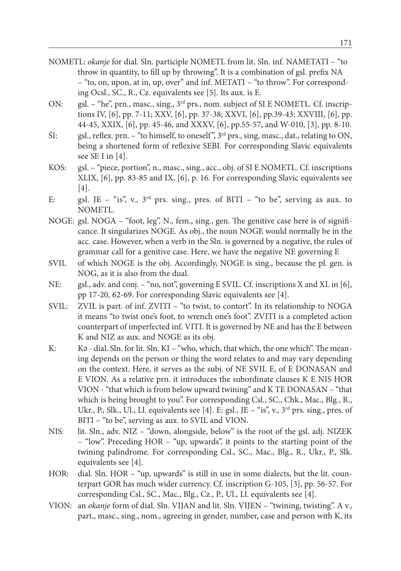- NOMETL: *okanje* for dial. Sln. participle NOMETL from lit. Sln. inf. NAMETATI "to throw in quantity, to fill up by throwing". It is a combination of gsl. prefix NA – "to, on, upon, at in, up, over" and inf. METATI – "to throw". For corresponding Ocsl., SC., R., Cz. equivalents see [5]. Its aux. is E.
- ON: gsl. "he", prn., masc., sing., 3rd prs., nom. subject of SI E NOMETL. Cf. inscriptions IV, [6], pp. 7-11; XXV, [6], pp. 37-38; XXVI, [6], pp.39-43; XXVIII, [6], pp. 44-45, XXIX, [6], pp. 45-46, and XXXV, [6], pp.55-57, and W-010, [3], pp. 8-10.
- ŚI: gsl., reflex. prn. "to himself, to oneself ", 3rd prs., sing, masc., dat., relating to ON, being a shortened form of reflexive SEBI. For corresponding Slavic equivalents see SE I in [4].
- KOS: gsl. "piece, portion", n., masc., sing., acc., obj. of SI E NOMETL. Cf. inscriptions XLIX, [6], pp. 83-85 and IX, [6], p. 16. For corresponding Slavic equivalents see [4].
- E: gsl. JE "is", v.,  $3<sup>rd</sup>$  prs. sing., pres. of BITI "to be", serving as aux. to NOMETL.
- NOGE: gsl. NOGA "foot, leg", N., fem., sing., gen. The genitive case here is of significance. It singularizes NOGE. As obj., the noun NOGE would normally be in the acc. case. However, when a verb in the Sln. is governed by a negative, the rules of grammar call for a genitive case. Here, we have the negative NE governing E
- SVIL of which NOGE is the obj. Accordingly, NOGE is sing., because the pl. gen. is NOG, as it is also from the dual.
- NE: gsl., adv. and conj. "no, not", governing E SVIL. Cf. inscriptions X and XL in [6], pp 17-20, 62-69. For corresponding Slavic equivalents see [4].
- SVIL: ZVIL is part. of inf. ZVITI "to twist, to contort". In its relationship to NOGA it means "to twist one's foot, to wrench one's foot". ZVITI is a completed action counterpart of imperfected inf. VITI. It is governed by NE and has the E between K and NIZ as aux. and NOGE as its obj.
- K: Kə dial. Sln. for lit. Sln. KI "who, which, that which, the one which". The meaning depends on the person or thing the word relates to and may vary depending on the context. Here, it serves as the subj. of NE SVIL E, of E DONASAN and E VION. As a relative prn. it introduces the subordinate clauses K E NIS HOR VION - "that which is from below upward twining" and K TE DONASAN – "that which is being brought to you". For corresponding Csl., SC., Chk., Mac., Blg., R., Ukr., P., Slk., Ul., Ll. equivalents see [4]. E: gsl., JE – "is", v., 3<sup>rd</sup> prs. sing., pres. of BITI – "to be", serving as aux. to SVIL and VION.
- NIS: lit. Sln., adv. NIZ "down, alongside, below" is the root of the gsl. adj. NIZEK – "low". Preceding HOR – "up, upwards", it points to the starting point of the twining palindrome. For corresponding Csl., SC., Mac., Blg., R., Ukr., P., Slk. equivalents see [4].
- HOR: dial. Sln. HOR "up, upwards" is still in use in some dialects, but the lit. counterpart GOR has much wider currency. Cf. inscription G-105, [3], pp. 56-57. For corresponding Csl., SC., Mac., Blg., Cz., P., Ul., Ll. equivalents see [4].
- VION: an *okanje* form of dial. Sln. VIJAN and lit. Sln. VIJEN "twining, twisting". A v., part., masc., sing., nom., agreeing in gender, number, case and person with K, its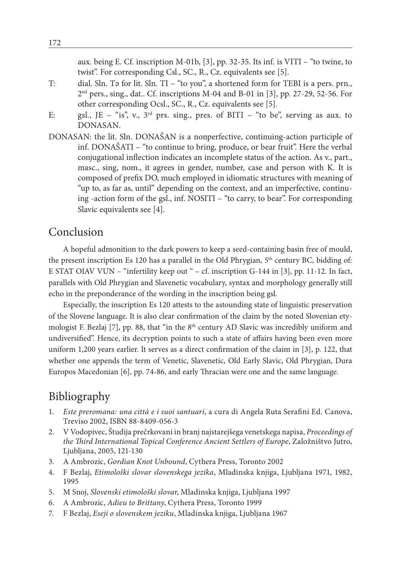aux. being E. Cf. inscription M-01b, [3], pp. 32-35. Its inf. is VITI – "to twine, to twist". For corresponding Csl., SC., R., Cz. equivalents see [5].

- T: dial. Sln. Tə for lit. Sln. TI "to you", a shortened form for TEBI is a pers. prn.,  $2<sup>nd</sup>$  pers., sing., dat.. Cf. inscriptions M-04 and B-01 in [3], pp. 27-29, 52-56. For other corresponding Ocsl., SC., R., Cz. equivalents see [5].
- E: gsl., JE "is", v.,  $3<sup>rd</sup>$  prs. sing., pres. of BITI "to be", serving as aux. to DONASAN.
- DONASAN: the lit. Sln. DONAŠAN is a nonperfective, continuing-action participle of inf. DONAŠATI – "to continue to bring, produce, or bear fruit". Here the verbal conjugational inflection indicates an incomplete status of the action. As v., part., masc., sing, nom., it agrees in gender, number, case and person with K. It is composed of prefix DO, much employed in idiomatic structures with meaning of "up to, as far as, until" depending on the context, and an imperfective, continuing -action form of the gsl., inf. NOSITI – "to carry, to bear". For corresponding Slavic equivalents see [4].

## Conclusion

A hopeful admonition to the dark powers to keep a seed-containing basin free of mould, the present inscription Es 120 has a parallel in the Old Phrygian, 5<sup>th</sup> century BC, bidding of: E STAT OIAV VUN – "infertility keep out " – cf. inscription G-144 in [3], pp. 11-12. In fact, parallels with Old Phrygian and Slavenetic vocabulary, syntax and morphology generally still echo in the preponderance of the wording in the inscription being gsl.

Especially, the inscription Es 120 attests to the astounding state of linguistic preservation of the Slovene language. It is also clear confirmation of the claim by the noted Slovenian etymologist F. Bezlaj  $[7]$ , pp. 88, that "in the 8<sup>th</sup> century AD Slavic was incredibly uniform and undiversified". Hence, its decryption points to such a state of affairs having been even more uniform 1,200 years earlier. It serves as a direct confirmation of the claim in [3], p. 122, that whether one appends the term of Venetic, Slavenetic, Old Early Slavic, Old Phrygian, Dura Europos Macedonian [6], pp. 74-86, and early Thracian were one and the same language.

## Bibliography

- 1. *Este preromana: una città e i suoi santuari*, a cura di Angela Ruta Serafini Ed. Canova, Treviso 2002, ISBN 88-8409-056-3
- 2. V Vodopivec, Študija prečrkovani in branj najstarejšega venetskega napisa, *Proceedings of the Third International Topical Conference Ancient Settlers of Europe*, Založništvo Jutro, Ljubljana, 2005, 121-130
- 3. A Ambrozic, *Gordian Knot Unbound*, Cythera Press, Toronto 2002
- 4. F Bezlaj, *Etimološki slovar slovenskega jezika*, Mladinska knjiga, Ljubljana 1971, 1982, 1995
- 5. M Snoj, *Slovenski etimološki slovar*, Mladinska knjiga, Ljubljana 1997
- 6. A Ambrozic, *Adieu to Brittany*, Cythera Press, Toronto 1999
- 7. F Bezlaj, *Eseji o slovenskem jeziku*, Mladinska knjiga, Ljubljana 1967